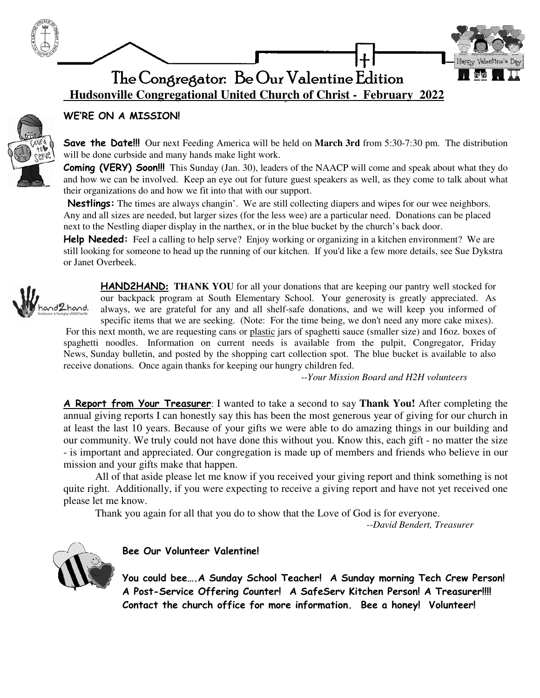

 **Hudsonville Congregational United Church of Christ - February 2022**



### WE'RE ON A MISSION!

Save the Date!!! Our next Feeding America will be held on **March 3rd** from 5:30-7:30 pm. The distribution will be done curbside and many hands make light work.

**Coming (VERY) Soon!!!** This Sunday (Jan. 30), leaders of the NAACP will come and speak about what they do and how we can be involved. Keep an eye out for future guest speakers as well, as they come to talk about what their organizations do and how we fit into that with our support.

Nestlings: The times are always changin'. We are still collecting diapers and wipes for our wee neighbors. Any and all sizes are needed, but larger sizes (for the less wee) are a particular need. Donations can be placed next to the Nestling diaper display in the narthex, or in the blue bucket by the church's back door.

**Help Needed:** Feel a calling to help serve? Enjoy working or organizing in a kitchen environment? We are still looking for someone to head up the running of our kitchen. If you'd like a few more details, see Sue Dykstra or Janet Overbeek.



HAND2HAND**: THANK YOU** for all your donations that are keeping our pantry well stocked for our backpack program at South Elementary School. Your generosity is greatly appreciated. As always, we are grateful for any and all shelf-safe donations, and we will keep you informed of specific items that we are seeking. (Note: For the time being, we don't need any more cake mixes).

 For this next month, we are requesting cans or plastic jars of spaghetti sauce (smaller size) and 16oz. boxes of spaghetti noodles. Information on current needs is available from the pulpit, Congregator, Friday News, Sunday bulletin, and posted by the shopping cart collection spot. The blue bucket is available to also receive donations. Once again thanks for keeping our hungry children fed.

*--Your Mission Board and H2H volunteers*

A Report from Your Treasurer: I wanted to take a second to say **Thank You!** After completing the annual giving reports I can honestly say this has been the most generous year of giving for our church in at least the last 10 years. Because of your gifts we were able to do amazing things in our building and our community. We truly could not have done this without you. Know this, each gift - no matter the size - is important and appreciated. Our congregation is made up of members and friends who believe in our mission and your gifts make that happen.

 All of that aside please let me know if you received your giving report and think something is not quite right. Additionally, if you were expecting to receive a giving report and have not yet received one please let me know.

Thank you again for all that you do to show that the Love of God is for everyone.

 *--David Bendert, Treasurer* 



Bee Our Volunteer Valentine!

You could bee….A Sunday School Teacher! A Sunday morning Tech Crew Person! A Post-Service Offering Counter! A SafeServ Kitchen Person! A Treasurer!!!! Contact the church office for more information. Bee a honey! Volunteer!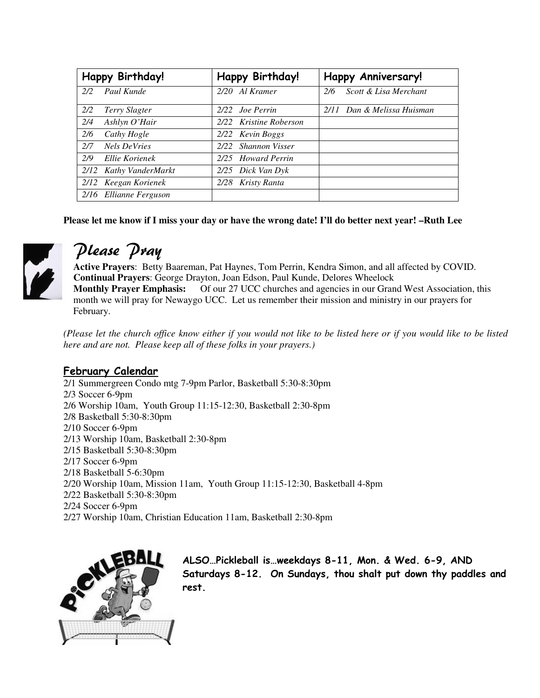| Happy Birthday! |                        | Happy Birthday!               | <b>Happy Anniversary!</b>    |
|-----------------|------------------------|-------------------------------|------------------------------|
| 2/2             | Paul Kunde             | 2/20 Al Kramer                | Scott & Lisa Merchant<br>2/6 |
| 2/2             | Terry Slagter          | 2/22 Joe Perrin               | 2/11 Dan & Melissa Huisman   |
| 2/4             | Ashlyn O'Hair          | 2/22 Kristine Roberson        |                              |
| 2/6             | Cathy Hogle            | 2/22 Kevin Boggs              |                              |
| 2/7             | <b>Nels DeVries</b>    | <b>Shannon Visser</b><br>2/22 |                              |
| 2/9             | Ellie Korienek         | 2/25 Howard Perrin            |                              |
|                 | 2/12 Kathy VanderMarkt | 2/25 Dick Van Dyk             |                              |
|                 | 2/12 Keegan Korienek   | 2/28 Kristy Ranta             |                              |
|                 | 2/16 Ellianne Ferguson |                               |                              |

**Please let me know if I miss your day or have the wrong date! I'll do better next year! –Ruth Lee** 



# Please Pray

**Active Prayers**: Betty Baareman, Pat Haynes, Tom Perrin, Kendra Simon, and all affected by COVID. **Continual Prayers**: George Drayton, Joan Edson, Paul Kunde, Delores Wheelock **Monthly Prayer Emphasis:** Of our 27 UCC churches and agencies in our Grand West Association, this month we will pray for Newaygo UCC. Let us remember their mission and ministry in our prayers for February.

*(Please let the church office know either if you would not like to be listed here or if you would like to be listed here and are not. Please keep all of these folks in your prayers.)*

## February Calendar

2/1 Summergreen Condo mtg 7-9pm Parlor, Basketball 5:30-8:30pm 2/3 Soccer 6-9pm 2/6 Worship 10am, Youth Group 11:15-12:30, Basketball 2:30-8pm 2/8 Basketball 5:30-8:30pm 2/10 Soccer 6-9pm 2/13 Worship 10am, Basketball 2:30-8pm 2/15 Basketball 5:30-8:30pm 2/17 Soccer 6-9pm 2/18 Basketball 5-6:30pm 2/20 Worship 10am, Mission 11am, Youth Group 11:15-12:30, Basketball 4-8pm 2/22 Basketball 5:30-8:30pm 2/24 Soccer 6-9pm 2/27 Worship 10am, Christian Education 11am, Basketball 2:30-8pm



ALSO…Pickleball is…weekdays 8-11, Mon. & Wed. 6-9, AND Saturdays 8-12. On Sundays, thou shalt put down thy paddles and rest.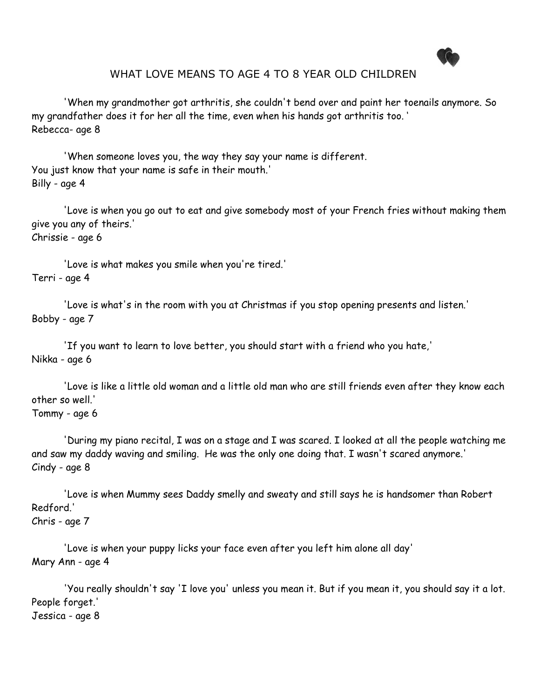

## WHAT LOVE MEANS TO AGE 4 TO 8 YEAR OLD CHILDREN

'When my grandmother got arthritis, she couldn't bend over and paint her toenails anymore. So my grandfather does it for her all the time, even when his hands got arthritis too. ' Rebecca- age 8

'When someone loves you, the way they say your name is different. You just know that your name is safe in their mouth.' Billy - age 4

'Love is when you go out to eat and give somebody most of your French fries without making them give you any of theirs.' Chrissie - age 6

'Love is what makes you smile when you're tired.' Terri - age 4

'Love is what's in the room with you at Christmas if you stop opening presents and listen.' Bobby - age 7

'If you want to learn to love better, you should start with a friend who you hate,' Nikka - age 6

'Love is like a little old woman and a little old man who are still friends even after they know each other so well.'

### Tommy - age 6

'During my piano recital, I was on a stage and I was scared. I looked at all the people watching me and saw my daddy waving and smiling. He was the only one doing that. I wasn't scared anymore.' Cindy - age 8

'Love is when Mummy sees Daddy smelly and sweaty and still says he is handsomer than Robert Redford.' Chris - age 7

'Love is when your puppy licks your face even after you left him alone all day' Mary Ann - age 4

 'You really shouldn't say 'I love you' unless you mean it. But if you mean it, you should say it a lot. People forget.'

Jessica - age 8